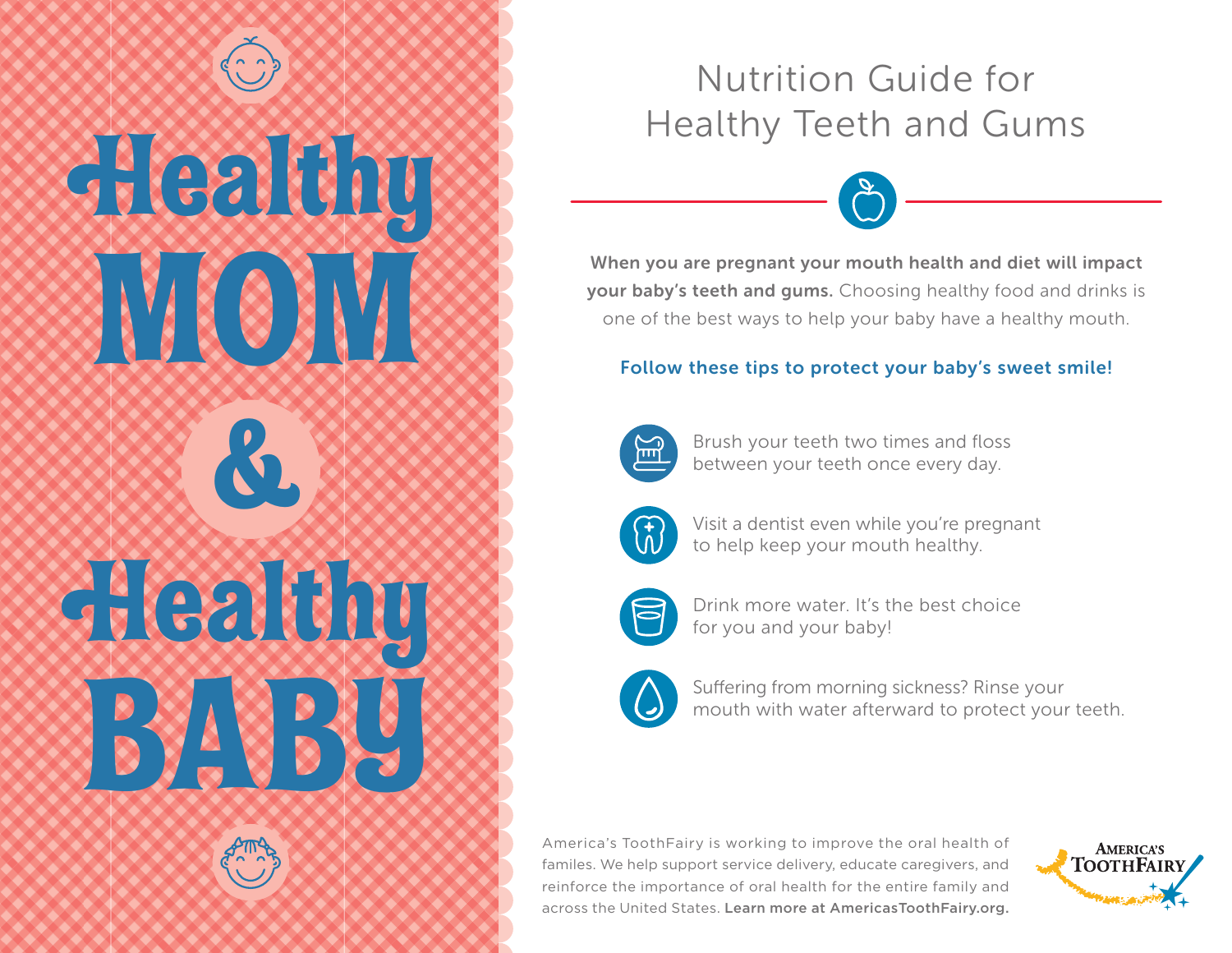**Healthy** MOM & Zealthy

BABY

# Nutrition Guide for Healthy Teeth and Gums



When you are pregnant your mouth health and diet will impact your baby's teeth and gums. Choosing healthy food and drinks is one of the best ways to help your baby have a healthy mouth.

### Follow these tips to protect your baby's sweet smile!



Brush your teeth two times and floss between your teeth once every day.



Visit a dentist even while you're pregnant to help keep your mouth healthy.



Drink more water. It's the best choice for you and your baby!



Suffering from morning sickness? Rinse your mouth with water afterward to protect your teeth.

America's ToothFairy is working to improve the oral health of familes. We help support service delivery, educate caregivers, and reinforce the importance of oral health for the entire family and across the United States. Learn more at AmericasToothFairy.org.